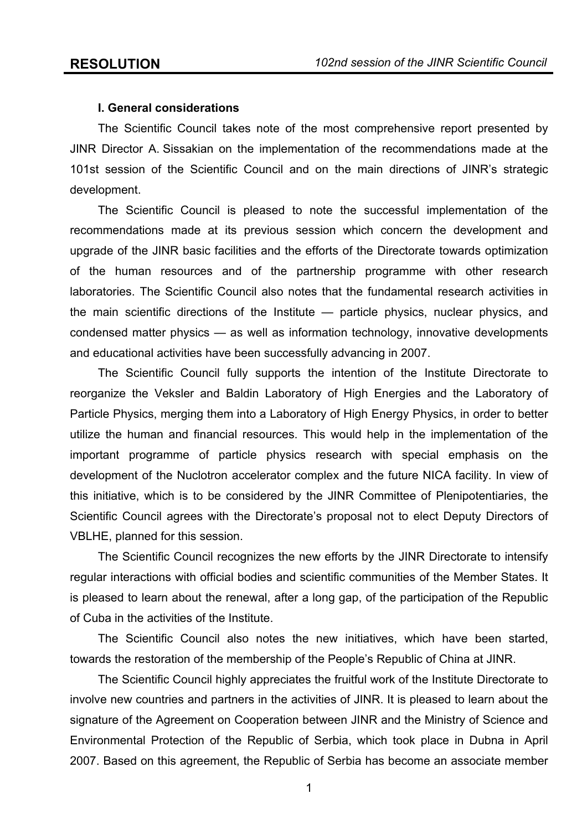## **I. General considerations**

The Scientific Council takes note of the most comprehensive report presented by JINR Director A. Sissakian on the implementation of the recommendations made at the 101st session of the Scientific Council and on the main directions of JINR's strategic development.

The Scientific Council is pleased to note the successful implementation of the recommendations made at its previous session which concern the development and upgrade of the JINR basic facilities and the efforts of the Directorate towards optimization of the human resources and of the partnership programme with other research laboratories. The Scientific Council also notes that the fundamental research activities in the main scientific directions of the Institute — particle physics, nuclear physics, and condensed matter physics — as well as information technology, innovative developments and educational activities have been successfully advancing in 2007.

The Scientific Council fully supports the intention of the Institute Directorate to reorganize the Veksler and Baldin Laboratory of High Energies and the Laboratory of Particle Physics, merging them into a Laboratory of High Energy Physics, in order to better utilize the human and financial resources. This would help in the implementation of the important programme of particle physics research with special emphasis on the development of the Nuclotron accelerator complex and the future NICA facility. In view of this initiative, which is to be considered by the JINR Committee of Plenipotentiaries, the Scientific Council agrees with the Directorate's proposal not to elect Deputy Directors of VBLHE, planned for this session.

The Scientific Council recognizes the new efforts by the JINR Directorate to intensify regular interactions with official bodies and scientific communities of the Member States. It is pleased to learn about the renewal, after a long gap, of the participation of the Republic of Cuba in the activities of the Institute.

The Scientific Council also notes the new initiatives, which have been started, towards the restoration of the membership of the People's Republic of China at JINR.

The Scientific Council highly appreciates the fruitful work of the Institute Directorate to involve new countries and partners in the activities of JINR. It is pleased to learn about the signature of the Agreement on Cooperation between JINR and the Ministry of Science and Environmental Protection of the Republic of Serbia, which took place in Dubna in April 2007. Based on this agreement, the Republic of Serbia has become an associate member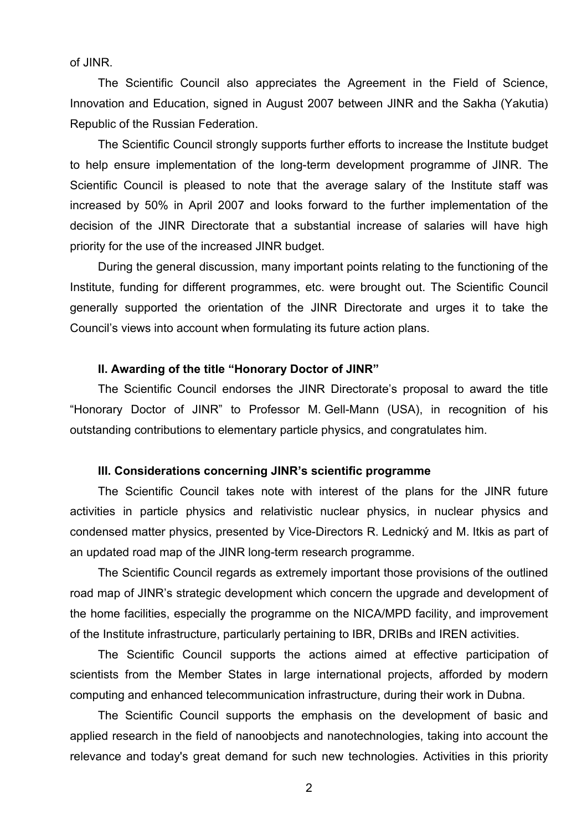of JINR.

The Scientific Council also appreciates the Agreement in the Field of Science, Innovation and Education, signed in August 2007 between JINR and the Sakha (Yakutia) Republic of the Russian Federation.

The Scientific Council strongly supports further efforts to increase the Institute budget to help ensure implementation of the long-term development programme of JINR. The Scientific Council is pleased to note that the average salary of the Institute staff was increased by 50% in April 2007 and looks forward to the further implementation of the decision of the JINR Directorate that a substantial increase of salaries will have high priority for the use of the increased JINR budget.

During the general discussion, many important points relating to the functioning of the Institute, funding for different programmes, etc. were brought out. The Scientific Council generally supported the orientation of the JINR Directorate and urges it to take the Council's views into account when formulating its future action plans.

### **II. Awarding of the title "Honorary Doctor of JINR"**

The Scientific Council endorses the JINR Directorate's proposal to award the title "Honorary Doctor of JINR" to Professor M. Gell-Mann (USA), in recognition of his outstanding contributions to elementary particle physics, and congratulates him.

## **III. Considerations concerning JINR's scientific programme**

The Scientific Council takes note with interest of the plans for the JINR future activities in particle physics and relativistic nuclear physics, in nuclear physics and condensed matter physics, presented by Vice-Directors R. Lednický and M. Itkis as part of an updated road map of the JINR long-term research programme.

The Scientific Council regards as extremely important those provisions of the outlined road map of JINR's strategic development which concern the upgrade and development of the home facilities, especially the programme on the NICA/MPD facility, and improvement of the Institute infrastructure, particularly pertaining to IBR, DRIBs and IREN activities.

The Scientific Council supports the actions aimed at effective participation of scientists from the Member States in large international projects, afforded by modern computing and enhanced telecommunication infrastructure, during their work in Dubna.

The Scientific Council supports the emphasis on the development of basic and applied research in the field of nanoobjects and nanotechnologies, taking into account the relevance and today's great demand for such new technologies. Activities in this priority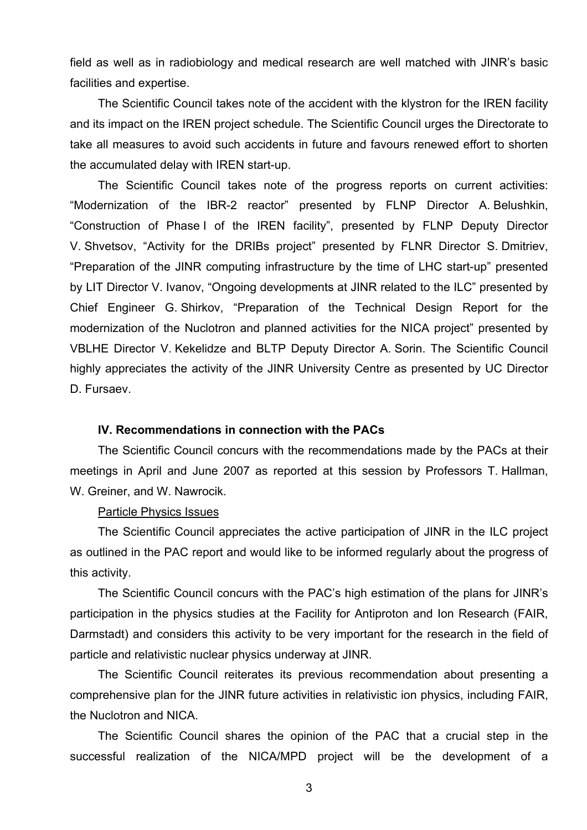field as well as in radiobiology and medical research are well matched with JINR's basic facilities and expertise.

The Scientific Council takes note of the accident with the klystron for the IREN facility and its impact on the IREN project schedule. The Scientific Council urges the Directorate to take all measures to avoid such accidents in future and favours renewed effort to shorten the accumulated delay with IREN start-up.

The Scientific Council takes note of the progress reports on current activities: "Modernization of the IBR-2 reactor" presented by FLNP Director A. Belushkin, "Construction of Phase I of the IREN facility", presented by FLNP Deputy Director V. Shvetsov, "Activity for the DRIBs project" presented by FLNR Director S. Dmitriev, "Preparation of the JINR computing infrastructure by the time of LHC start-up" presented by LIT Director V. Ivanov, "Ongoing developments at JINR related to the ILC" presented by Chief Engineer G. Shirkov, "Preparation of the Technical Design Report for the modernization of the Nuclotron and planned activities for the NICA project" presented by VBLHE Director V. Kekelidze and BLTP Deputy Director A. Sorin. The Scientific Council highly appreciates the activity of the JINR University Centre as presented by UC Director D. Fursaev.

## **IV. Recommendations in connection with the PACs**

The Scientific Council concurs with the recommendations made by the PACs at their meetings in April and June 2007 as reported at this session by Professors T. Hallman, W. Greiner, and W. Nawrocik.

## Particle Physics Issues

The Scientific Council appreciates the active participation of JINR in the ILC project as outlined in the PAC report and would like to be informed regularly about the progress of this activity.

The Scientific Council concurs with the PAC's high estimation of the plans for JINR's participation in the physics studies at the Facility for Antiproton and Ion Research (FAIR, Darmstadt) and considers this activity to be very important for the research in the field of particle and relativistic nuclear physics underway at JINR.

The Scientific Council reiterates its previous recommendation about presenting a comprehensive plan for the JINR future activities in relativistic ion physics, including FAIR, the Nuclotron and NICA.

The Scientific Council shares the opinion of the PAC that a crucial step in the successful realization of the NICA/MPD project will be the development of a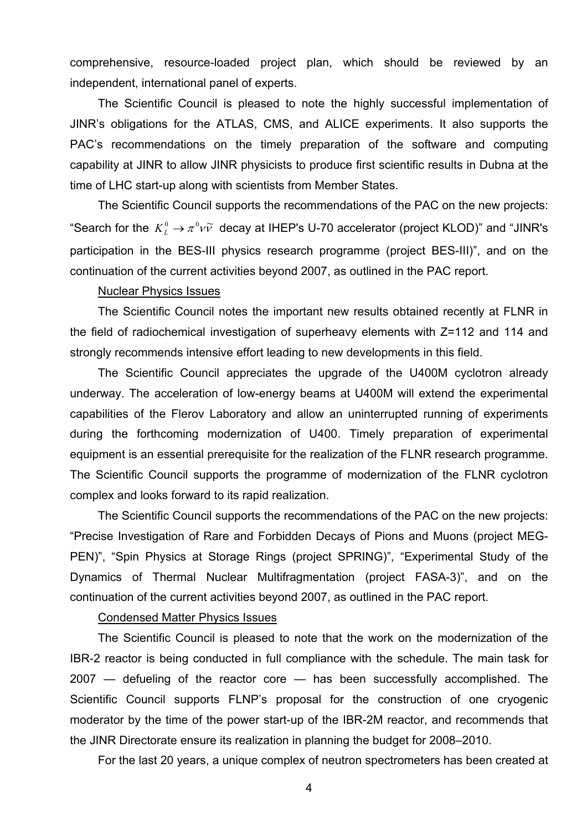comprehensive, resource-loaded project plan, which should be reviewed by an independent, international panel of experts.

The Scientific Council is pleased to note the highly successful implementation of JINR's obligations for the ATLAS, CMS, and ALICE experiments. It also supports the PAC's recommendations on the timely preparation of the software and computing capability at JINR to allow JINR physicists to produce first scientific results in Dubna at the time of LHC start-up along with scientists from Member States.

The Scientific Council supports the recommendations of the PAC on the new projects: "Search for the  $K^0_L \rightarrow \pi^0 \nu \tilde{\nu}$  decay at IHEP's U-70 accelerator (project KLOD)" and "JINR's participation in the BES-III physics research programme (project BES-III)", and on the continuation of the current activities beyond 2007, as outlined in the PAC report.

## Nuclear Physics Issues

The Scientific Council notes the important new results obtained recently at FLNR in the field of radiochemical investigation of superheavy elements with Z=112 and 114 and strongly recommends intensive effort leading to new developments in this field.

The Scientific Council appreciates the upgrade of the U400M cyclotron already underway. The acceleration of low-energy beams at U400M will extend the experimental capabilities of the Flerov Laboratory and allow an uninterrupted running of experiments during the forthcoming modernization of U400. Timely preparation of experimental equipment is an essential prerequisite for the realization of the FLNR research programme. The Scientific Council supports the programme of modernization of the FLNR cyclotron complex and looks forward to its rapid realization.

The Scientific Council supports the recommendations of the PAC on the new projects: "Precise Investigation of Rare and Forbidden Decays of Pions and Muons (project MEG-PEN)", "Spin Physics at Storage Rings (project SPRING)", "Experimental Study of the Dynamics of Thermal Nuclear Multifragmentation (project FASA-3)", and on the continuation of the current activities beyond 2007, as outlined in the PAC report.

#### Condensed Matter Physics Issues

The Scientific Council is pleased to note that the work on the modernization of the IBR-2 reactor is being conducted in full compliance with the schedule. The main task for 2007 — defueling of the reactor core — has been successfully accomplished. The Scientific Council supports FLNP's proposal for the construction of one cryogenic moderator by the time of the power start-up of the IBR-2M reactor, and recommends that the JINR Directorate ensure its realization in planning the budget for 2008–2010.

For the last 20 years, a unique complex of neutron spectrometers has been created at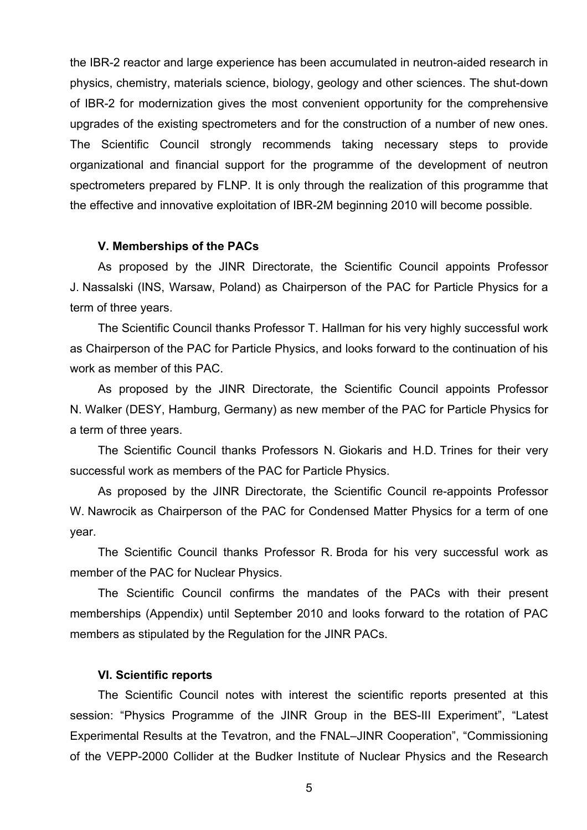the IBR-2 reactor and large experience has been accumulated in neutron-aided research in physics, chemistry, materials science, biology, geology and other sciences. The shut-down of IBR-2 for modernization gives the most convenient opportunity for the comprehensive upgrades of the existing spectrometers and for the construction of a number of new ones. The Scientific Council strongly recommends taking necessary steps to provide organizational and financial support for the programme of the development of neutron spectrometers prepared by FLNP. It is only through the realization of this programme that the effective and innovative exploitation of IBR-2M beginning 2010 will become possible.

### **V. Memberships of the PACs**

As proposed by the JINR Directorate, the Scientific Council appoints Professor J. Nassalski (INS, Warsaw, Poland) as Chairperson of the PAC for Particle Physics for a term of three years.

The Scientific Council thanks Professor T. Hallman for his very highly successful work as Chairperson of the PAC for Particle Physics, and looks forward to the continuation of his work as member of this PAC.

As proposed by the JINR Directorate, the Scientific Council appoints Professor N. Walker (DESY, Hamburg, Germany) as new member of the PAC for Particle Physics for a term of three years.

The Scientific Council thanks Professors N. Giokaris and H.D. Trines for their very successful work as members of the PAC for Particle Physics.

As proposed by the JINR Directorate, the Scientific Council re-appoints Professor W. Nawrocik as Chairperson of the PAC for Condensed Matter Physics for a term of one year.

The Scientific Council thanks Professor R. Broda for his very successful work as member of the PAC for Nuclear Physics.

The Scientific Council confirms the mandates of the PACs with their present memberships (Appendix) until September 2010 and looks forward to the rotation of PAC members as stipulated by the Regulation for the JINR PACs.

### **VI. Scientific reports**

The Scientific Council notes with interest the scientific reports presented at this session: "Physics Programme of the JINR Group in the BES-III Experiment", "Latest Experimental Results at the Tevatron, and the FNAL–JINR Cooperation", "Commissioning of the VEPP-2000 Collider at the Budker Institute of Nuclear Physics and the Research